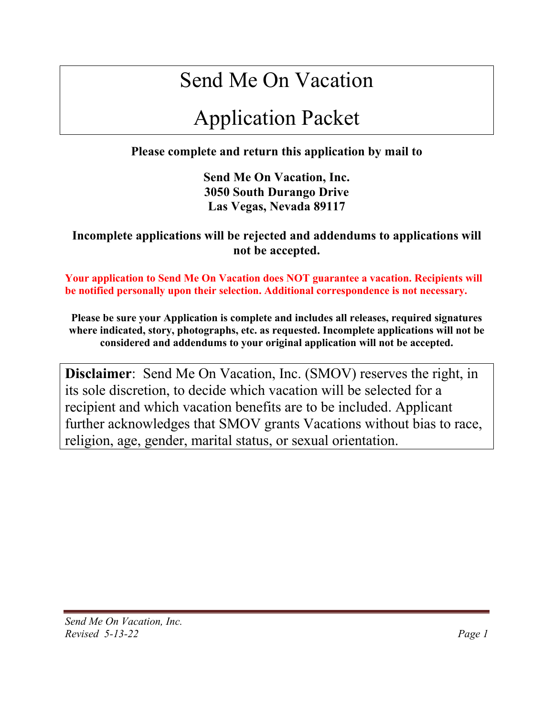# Send Me On Vacation

# Application Packet

**Please complete and return this application by mail to** 

**Send Me On Vacation, Inc. 3050 South Durango Drive Las Vegas, Nevada 89117**

**Incomplete applications will be rejected and addendums to applications will not be accepted.**

**Your application to Send Me On Vacation does NOT guarantee a vacation. Recipients will be notified personally upon their selection. Additional correspondence is not necessary.**

**Please be sure your Application is complete and includes all releases, required signatures where indicated, story, photographs, etc. as requested. Incomplete applications will not be considered and addendums to your original application will not be accepted.**

**Disclaimer**: Send Me On Vacation, Inc. (SMOV) reserves the right, in its sole discretion, to decide which vacation will be selected for a recipient and which vacation benefits are to be included. Applicant further acknowledges that SMOV grants Vacations without bias to race, religion, age, gender, marital status, or sexual orientation.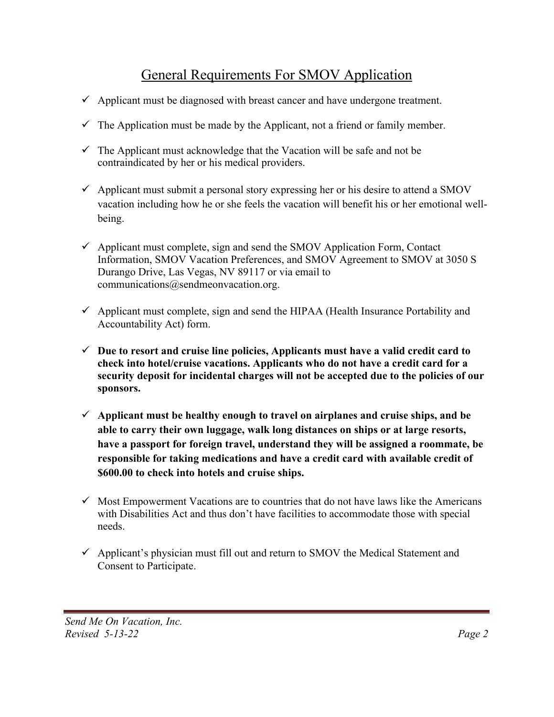# General Requirements For SMOV Application

- $\checkmark$  Applicant must be diagnosed with breast cancer and have undergone treatment.
- $\checkmark$  The Application must be made by the Applicant, not a friend or family member.
- $\checkmark$  The Applicant must acknowledge that the Vacation will be safe and not be contraindicated by her or his medical providers.
- $\checkmark$  Applicant must submit a personal story expressing her or his desire to attend a SMOV vacation including how he or she feels the vacation will benefit his or her emotional wellbeing.
- $\checkmark$  Applicant must complete, sign and send the SMOV Application Form, Contact Information, SMOV Vacation Preferences, and SMOV Agreement to SMOV at 3050 S Durango Drive, Las Vegas, NV 89117 or via email to communications@sendmeonvacation.org.
- $\checkmark$  Applicant must complete, sign and send the HIPAA (Health Insurance Portability and Accountability Act) form.
- $\checkmark$  Due to resort and cruise line policies, Applicants must have a valid credit card to **check into hotel/cruise vacations. Applicants who do not have a credit card for a security deposit for incidental charges will not be accepted due to the policies of our sponsors.**
- $\checkmark$  Applicant must be healthy enough to travel on airplanes and cruise ships, and be **able to carry their own luggage, walk long distances on ships or at large resorts, have a passport for foreign travel, understand they will be assigned a roommate, be responsible for taking medications and have a credit card with available credit of \$600.00 to check into hotels and cruise ships.**
- $\checkmark$  Most Empowerment Vacations are to countries that do not have laws like the Americans with Disabilities Act and thus don't have facilities to accommodate those with special needs.
- $\checkmark$  Applicant's physician must fill out and return to SMOV the Medical Statement and Consent to Participate.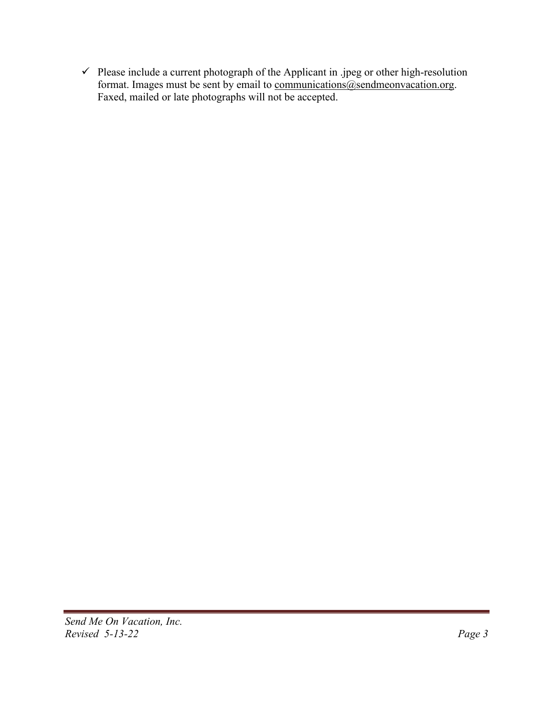$\checkmark$  Please include a current photograph of the Applicant in .jpeg or other high-resolution format. Images must be sent by email to communications@sendmeonvacation.org. Faxed, mailed or late photographs will not be accepted.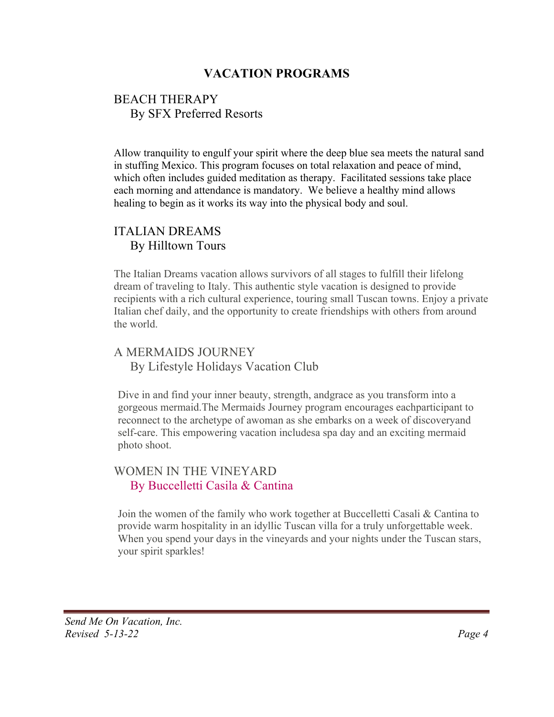# **VACATION PROGRAMS**

## BEACH THERAPY By SFX Preferred Resorts

Allow tranquility to engulf your spirit where the deep blue sea meets the natural sand in stuffing Mexico. This program focuses on total relaxation and peace of mind, which often includes guided meditation as therapy. Facilitated sessions take place each morning and attendance is mandatory. We believe a healthy mind allows healing to begin as it works its way into the physical body and soul.

# ITALIAN DREAMS By Hilltown Tours

The Italian Dreams vacation allows survivors of all stages to fulfill their lifelong dream of traveling to Italy. This authentic style vacation is designed to provide recipients with a rich cultural experience, touring small Tuscan towns. Enjoy a private Italian chef daily, and the opportunity to create friendships with others from around the world.

# A MERMAIDS JOURNEY By Lifestyle Holidays Vacation Club

Dive in and find your inner beauty, strength, andgrace as you transform into a gorgeous mermaid.The Mermaids Journey program encourages eachparticipant to reconnect to the archetype of awoman as she embarks on a week of discoveryand self-care. This empowering vacation includesa spa day and an exciting mermaid photo shoot.

## WOMEN IN THE VINEYARD By Buccelletti Casila & Cantina

Join the women of the family who work together at Buccelletti Casali & Cantina to provide warm hospitality in an idyllic Tuscan villa for a truly unforgettable week. When you spend your days in the vineyards and your nights under the Tuscan stars, your spirit sparkles!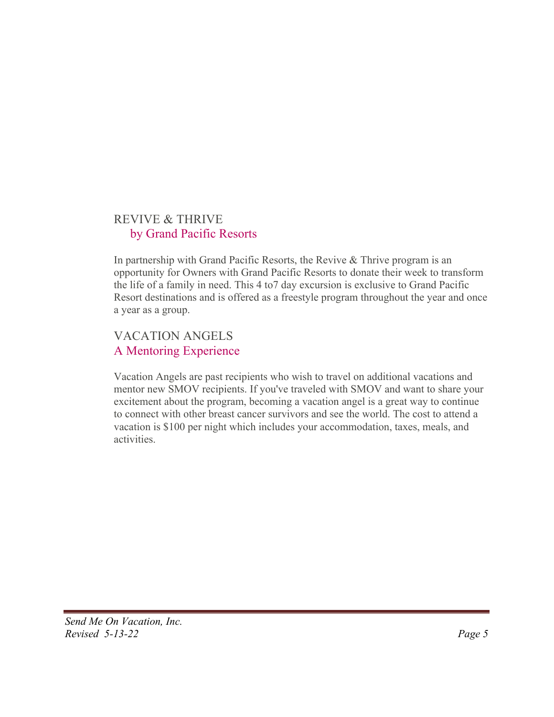# REVIVE & THRIVE by Grand Pacific Resorts

In partnership with Grand Pacific Resorts, the Revive & Thrive program is an opportunity for Owners with Grand Pacific Resorts to donate their week to transform the life of a family in need. This 4 to7 day excursion is exclusive to Grand Pacific Resort destinations and is offered as a freestyle program throughout the year and once a year as a group.

# VACATION ANGELS A Mentoring Experience

Vacation Angels are past recipients who wish to travel on additional vacations and mentor new SMOV recipients. If you've traveled with SMOV and want to share your excitement about the program, becoming a vacation angel is a great way to continue to connect with other breast cancer survivors and see the world. The cost to attend a vacation is \$100 per night which includes your accommodation, taxes, meals, and activities.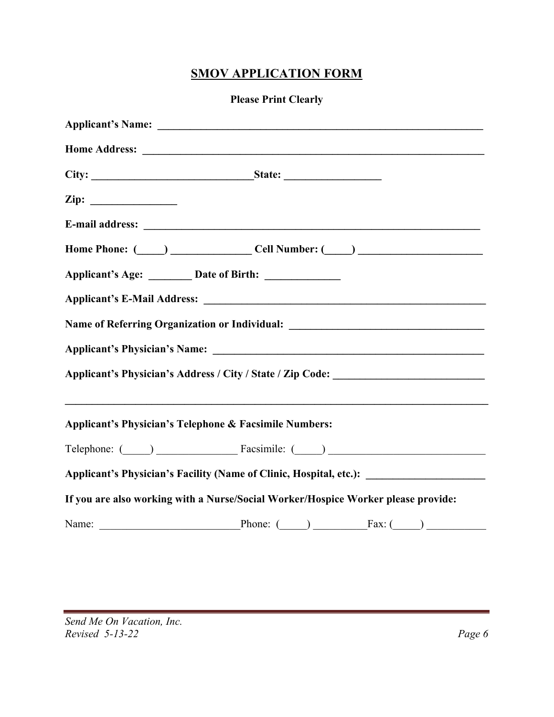# **SMOV APPLICATION FORM**

#### **Please Print Clearly**

| Name of Referring Organization or Individual: __________________________________                     |
|------------------------------------------------------------------------------------------------------|
| Applicant's Physician's Name:                                                                        |
| Applicant's Physician's Address / City / State / Zip Code: ______________________                    |
|                                                                                                      |
| Applicant's Physician's Telephone & Facsimile Numbers:                                               |
|                                                                                                      |
| Applicant's Physician's Facility (Name of Clinic, Hospital, etc.): _________________________________ |
| If you are also working with a Nurse/Social Worker/Hospice Worker please provide:                    |
|                                                                                                      |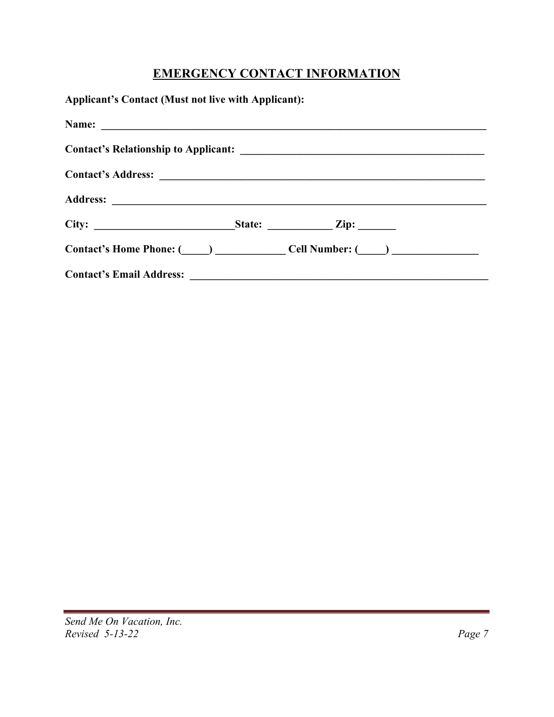# **EMERGENCY CONTACT INFORMATION**

| <b>Applicant's Contact (Must not live with Applicant):</b>                                                                                                                                                                     |  |  |
|--------------------------------------------------------------------------------------------------------------------------------------------------------------------------------------------------------------------------------|--|--|
|                                                                                                                                                                                                                                |  |  |
|                                                                                                                                                                                                                                |  |  |
|                                                                                                                                                                                                                                |  |  |
|                                                                                                                                                                                                                                |  |  |
| City: $\qquad \qquad$ State: $\qquad \qquad$ Zip:                                                                                                                                                                              |  |  |
| Contact's Home Phone: (Call Number: (Call Number: (Call Number: (Call Number: (Call Number: (Call Number: (Call Number: (Call Number: (Call Number: (Call Number: (Call Number: (Call Number: (Call Number: (Call Number: (Cal |  |  |
|                                                                                                                                                                                                                                |  |  |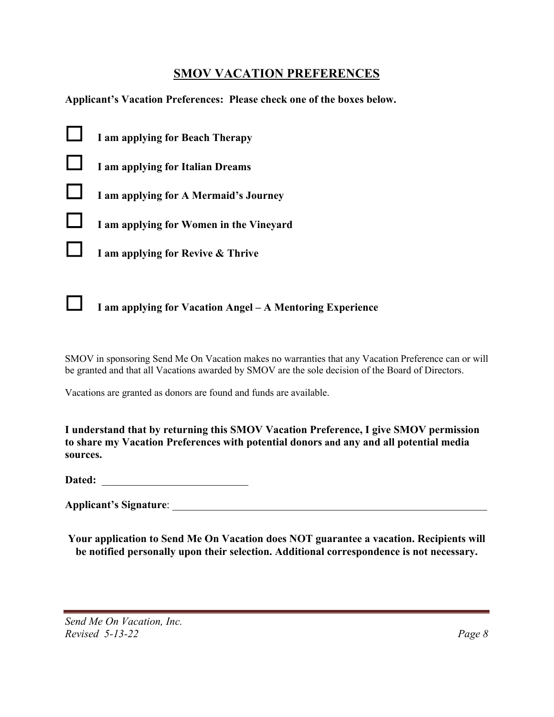## **SMOV VACATION PREFERENCES**

**Applicant's Vacation Preferences: Please check one of the boxes below.** 





# ☐ **I am applying for Vacation Angel – A Mentoring Experience**

SMOV in sponsoring Send Me On Vacation makes no warranties that any Vacation Preference can or will be granted and that all Vacations awarded by SMOV are the sole decision of the Board of Directors.

Vacations are granted as donors are found and funds are available.

**I understand that by returning this SMOV Vacation Preference, I give SMOV permission to share my Vacation Preferences with potential donors and any and all potential media sources.**

**Dated:** \_\_\_\_\_\_\_\_\_\_\_\_\_\_\_\_\_\_\_\_\_\_\_\_\_\_\_

| <b>Applicant's Signature:</b> |
|-------------------------------|
|                               |

**Your application to Send Me On Vacation does NOT guarantee a vacation. Recipients will be notified personally upon their selection. Additional correspondence is not necessary.**

*Send Me On Vacation, Inc. Revised 5-13-22 Page 8*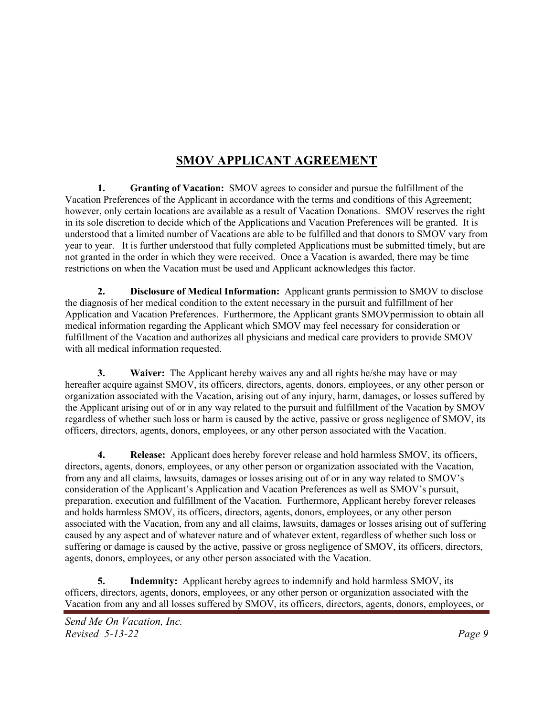# **SMOV APPLICANT AGREEMENT**

**1. Granting of Vacation:** SMOV agrees to consider and pursue the fulfillment of the Vacation Preferences of the Applicant in accordance with the terms and conditions of this Agreement; however, only certain locations are available as a result of Vacation Donations. SMOV reserves the right in its sole discretion to decide which of the Applications and Vacation Preferences will be granted. It is understood that a limited number of Vacations are able to be fulfilled and that donors to SMOV vary from year to year. It is further understood that fully completed Applications must be submitted timely, but are not granted in the order in which they were received. Once a Vacation is awarded, there may be time restrictions on when the Vacation must be used and Applicant acknowledges this factor.

**2. Disclosure of Medical Information:** Applicant grants permission to SMOV to disclose the diagnosis of her medical condition to the extent necessary in the pursuit and fulfillment of her Application and Vacation Preferences. Furthermore, the Applicant grants SMOVpermission to obtain all medical information regarding the Applicant which SMOV may feel necessary for consideration or fulfillment of the Vacation and authorizes all physicians and medical care providers to provide SMOV with all medical information requested.

**3. Waiver:** The Applicant hereby waives any and all rights he/she may have or may hereafter acquire against SMOV, its officers, directors, agents, donors, employees, or any other person or organization associated with the Vacation, arising out of any injury, harm, damages, or losses suffered by the Applicant arising out of or in any way related to the pursuit and fulfillment of the Vacation by SMOV regardless of whether such loss or harm is caused by the active, passive or gross negligence of SMOV, its officers, directors, agents, donors, employees, or any other person associated with the Vacation.

**4. Release:** Applicant does hereby forever release and hold harmless SMOV, its officers, directors, agents, donors, employees, or any other person or organization associated with the Vacation, from any and all claims, lawsuits, damages or losses arising out of or in any way related to SMOV's consideration of the Applicant's Application and Vacation Preferences as well as SMOV's pursuit, preparation, execution and fulfillment of the Vacation. Furthermore, Applicant hereby forever releases and holds harmless SMOV, its officers, directors, agents, donors, employees, or any other person associated with the Vacation, from any and all claims, lawsuits, damages or losses arising out of suffering caused by any aspect and of whatever nature and of whatever extent, regardless of whether such loss or suffering or damage is caused by the active, passive or gross negligence of SMOV, its officers, directors, agents, donors, employees, or any other person associated with the Vacation.

**5. Indemnity:** Applicant hereby agrees to indemnify and hold harmless SMOV, its officers, directors, agents, donors, employees, or any other person or organization associated with the Vacation from any and all losses suffered by SMOV, its officers, directors, agents, donors, employees, or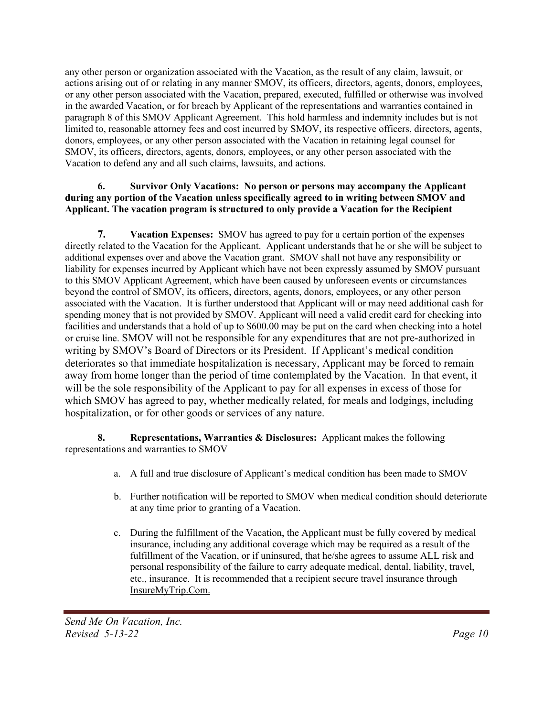any other person or organization associated with the Vacation, as the result of any claim, lawsuit, or actions arising out of or relating in any manner SMOV, its officers, directors, agents, donors, employees, or any other person associated with the Vacation, prepared, executed, fulfilled or otherwise was involved in the awarded Vacation, or for breach by Applicant of the representations and warranties contained in paragraph 8 of this SMOV Applicant Agreement. This hold harmless and indemnity includes but is not limited to, reasonable attorney fees and cost incurred by SMOV, its respective officers, directors, agents, donors, employees, or any other person associated with the Vacation in retaining legal counsel for SMOV, its officers, directors, agents, donors, employees, or any other person associated with the Vacation to defend any and all such claims, lawsuits, and actions.

#### **6. Survivor Only Vacations: No person or persons may accompany the Applicant during any portion of the Vacation unless specifically agreed to in writing between SMOV and Applicant. The vacation program is structured to only provide a Vacation for the Recipient**

**7. Vacation Expenses:** SMOV has agreed to pay for a certain portion of the expenses directly related to the Vacation for the Applicant. Applicant understands that he or she will be subject to additional expenses over and above the Vacation grant. SMOV shall not have any responsibility or liability for expenses incurred by Applicant which have not been expressly assumed by SMOV pursuant to this SMOV Applicant Agreement, which have been caused by unforeseen events or circumstances beyond the control of SMOV, its officers, directors, agents, donors, employees, or any other person associated with the Vacation. It is further understood that Applicant will or may need additional cash for spending money that is not provided by SMOV. Applicant will need a valid credit card for checking into facilities and understands that a hold of up to \$600.00 may be put on the card when checking into a hotel or cruise line. SMOV will not be responsible for any expenditures that are not pre-authorized in writing by SMOV's Board of Directors or its President. If Applicant's medical condition deteriorates so that immediate hospitalization is necessary, Applicant may be forced to remain away from home longer than the period of time contemplated by the Vacation. In that event, it will be the sole responsibility of the Applicant to pay for all expenses in excess of those for which SMOV has agreed to pay, whether medically related, for meals and lodgings, including hospitalization, or for other goods or services of any nature.

**8. Representations, Warranties & Disclosures:** Applicant makes the following representations and warranties to SMOV

- a. A full and true disclosure of Applicant's medical condition has been made to SMOV
- b. Further notification will be reported to SMOV when medical condition should deteriorate at any time prior to granting of a Vacation.
- c. During the fulfillment of the Vacation, the Applicant must be fully covered by medical insurance, including any additional coverage which may be required as a result of the fulfillment of the Vacation, or if uninsured, that he/she agrees to assume ALL risk and personal responsibility of the failure to carry adequate medical, dental, liability, travel, etc., insurance. It is recommended that a recipient secure travel insurance through InsureMyTrip.Com.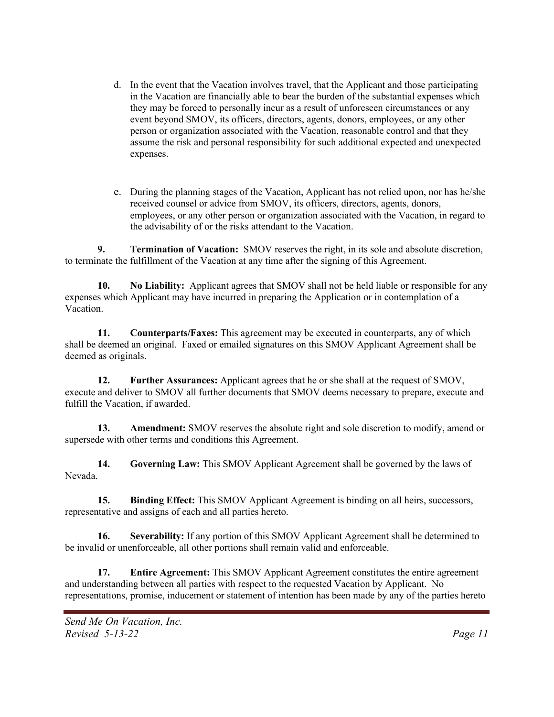- d. In the event that the Vacation involves travel, that the Applicant and those participating in the Vacation are financially able to bear the burden of the substantial expenses which they may be forced to personally incur as a result of unforeseen circumstances or any event beyond SMOV, its officers, directors, agents, donors, employees, or any other person or organization associated with the Vacation, reasonable control and that they assume the risk and personal responsibility for such additional expected and unexpected expenses.
- e. During the planning stages of the Vacation, Applicant has not relied upon, nor has he/she received counsel or advice from SMOV, its officers, directors, agents, donors, employees, or any other person or organization associated with the Vacation, in regard to the advisability of or the risks attendant to the Vacation.

**9. Termination of Vacation:** SMOV reserves the right, in its sole and absolute discretion, to terminate the fulfillment of the Vacation at any time after the signing of this Agreement.

**10. No Liability:** Applicant agrees that SMOV shall not be held liable or responsible for any expenses which Applicant may have incurred in preparing the Application or in contemplation of a Vacation.

**11. Counterparts/Faxes:** This agreement may be executed in counterparts, any of which shall be deemed an original. Faxed or emailed signatures on this SMOV Applicant Agreement shall be deemed as originals.

**12. Further Assurances:** Applicant agrees that he or she shall at the request of SMOV, execute and deliver to SMOV all further documents that SMOV deems necessary to prepare, execute and fulfill the Vacation, if awarded.

**13. Amendment:** SMOV reserves the absolute right and sole discretion to modify, amend or supersede with other terms and conditions this Agreement.

**14. Governing Law:** This SMOV Applicant Agreement shall be governed by the laws of Nevada.

**15. Binding Effect:** This SMOV Applicant Agreement is binding on all heirs, successors, representative and assigns of each and all parties hereto.

**16. Severability:** If any portion of this SMOV Applicant Agreement shall be determined to be invalid or unenforceable, all other portions shall remain valid and enforceable.

**17. Entire Agreement:** This SMOV Applicant Agreement constitutes the entire agreement and understanding between all parties with respect to the requested Vacation by Applicant. No representations, promise, inducement or statement of intention has been made by any of the parties hereto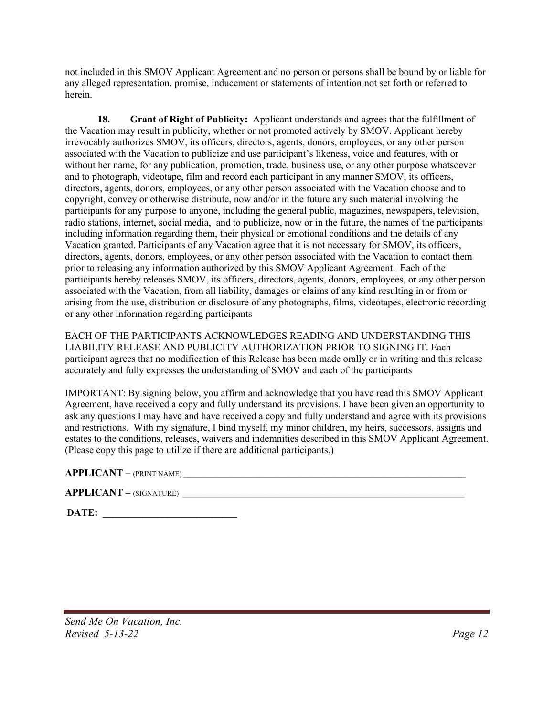not included in this SMOV Applicant Agreement and no person or persons shall be bound by or liable for any alleged representation, promise, inducement or statements of intention not set forth or referred to herein.

**18. Grant of Right of Publicity:** Applicant understands and agrees that the fulfillment of the Vacation may result in publicity, whether or not promoted actively by SMOV. Applicant hereby irrevocably authorizes SMOV, its officers, directors, agents, donors, employees, or any other person associated with the Vacation to publicize and use participant's likeness, voice and features, with or without her name, for any publication, promotion, trade, business use, or any other purpose whatsoever and to photograph, videotape, film and record each participant in any manner SMOV, its officers, directors, agents, donors, employees, or any other person associated with the Vacation choose and to copyright, convey or otherwise distribute, now and/or in the future any such material involving the participants for any purpose to anyone, including the general public, magazines, newspapers, television, radio stations, internet, social media, and to publicize, now or in the future, the names of the participants including information regarding them, their physical or emotional conditions and the details of any Vacation granted. Participants of any Vacation agree that it is not necessary for SMOV, its officers, directors, agents, donors, employees, or any other person associated with the Vacation to contact them prior to releasing any information authorized by this SMOV Applicant Agreement. Each of the participants hereby releases SMOV, its officers, directors, agents, donors, employees, or any other person associated with the Vacation, from all liability, damages or claims of any kind resulting in or from or arising from the use, distribution or disclosure of any photographs, films, videotapes, electronic recording or any other information regarding participants

EACH OF THE PARTICIPANTS ACKNOWLEDGES READING AND UNDERSTANDING THIS LIABILITY RELEASE AND PUBLICITY AUTHORIZATION PRIOR TO SIGNING IT. Each participant agrees that no modification of this Release has been made orally or in writing and this release accurately and fully expresses the understanding of SMOV and each of the participants

IMPORTANT: By signing below, you affirm and acknowledge that you have read this SMOV Applicant Agreement, have received a copy and fully understand its provisions. I have been given an opportunity to ask any questions I may have and have received a copy and fully understand and agree with its provisions and restrictions. With my signature, I bind myself, my minor children, my heirs, successors, assigns and estates to the conditions, releases, waivers and indemnities described in this SMOV Applicant Agreement. (Please copy this page to utilize if there are additional participants.)

#### **APPLICANT** – (PRINT NAME)

| <b>APPLICANT</b> - (SIGNATURE) |  |
|--------------------------------|--|
|                                |  |

**DATE: \_\_\_\_\_\_\_\_\_\_\_\_\_\_\_\_\_\_\_\_\_\_\_\_\_\_\_**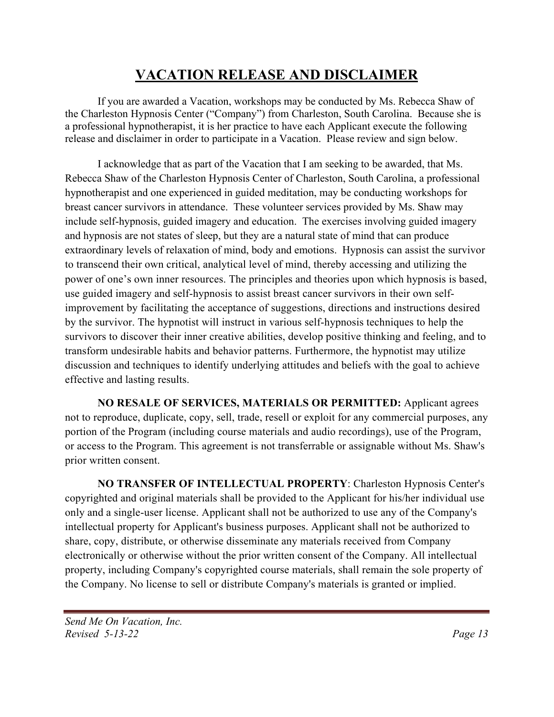# **VACATION RELEASE AND DISCLAIMER**

If you are awarded a Vacation, workshops may be conducted by Ms. Rebecca Shaw of the Charleston Hypnosis Center ("Company") from Charleston, South Carolina. Because she is a professional hypnotherapist, it is her practice to have each Applicant execute the following release and disclaimer in order to participate in a Vacation. Please review and sign below.

I acknowledge that as part of the Vacation that I am seeking to be awarded, that Ms. Rebecca Shaw of the Charleston Hypnosis Center of Charleston, South Carolina, a professional hypnotherapist and one experienced in guided meditation, may be conducting workshops for breast cancer survivors in attendance. These volunteer services provided by Ms. Shaw may include self-hypnosis, guided imagery and education. The exercises involving guided imagery and hypnosis are not states of sleep, but they are a natural state of mind that can produce extraordinary levels of relaxation of mind, body and emotions. Hypnosis can assist the survivor to transcend their own critical, analytical level of mind, thereby accessing and utilizing the power of one's own inner resources. The principles and theories upon which hypnosis is based, use guided imagery and self-hypnosis to assist breast cancer survivors in their own selfimprovement by facilitating the acceptance of suggestions, directions and instructions desired by the survivor. The hypnotist will instruct in various self-hypnosis techniques to help the survivors to discover their inner creative abilities, develop positive thinking and feeling, and to transform undesirable habits and behavior patterns. Furthermore, the hypnotist may utilize discussion and techniques to identify underlying attitudes and beliefs with the goal to achieve effective and lasting results.

**NO RESALE OF SERVICES, MATERIALS OR PERMITTED:** Applicant agrees not to reproduce, duplicate, copy, sell, trade, resell or exploit for any commercial purposes, any portion of the Program (including course materials and audio recordings), use of the Program, or access to the Program. This agreement is not transferrable or assignable without Ms. Shaw's prior written consent.

**NO TRANSFER OF INTELLECTUAL PROPERTY**: Charleston Hypnosis Center's copyrighted and original materials shall be provided to the Applicant for his/her individual use only and a single-user license. Applicant shall not be authorized to use any of the Company's intellectual property for Applicant's business purposes. Applicant shall not be authorized to share, copy, distribute, or otherwise disseminate any materials received from Company electronically or otherwise without the prior written consent of the Company. All intellectual property, including Company's copyrighted course materials, shall remain the sole property of the Company. No license to sell or distribute Company's materials is granted or implied.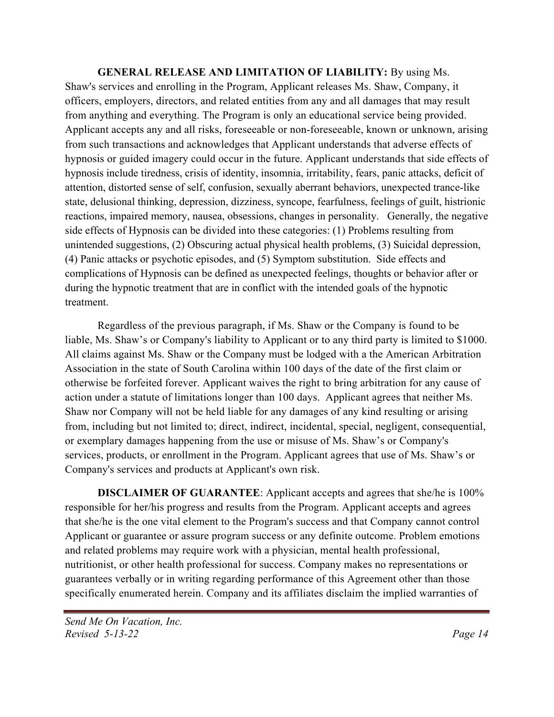**GENERAL RELEASE AND LIMITATION OF LIABILITY:** By using Ms. Shaw's services and enrolling in the Program, Applicant releases Ms. Shaw, Company, it officers, employers, directors, and related entities from any and all damages that may result from anything and everything. The Program is only an educational service being provided. Applicant accepts any and all risks, foreseeable or non-foreseeable, known or unknown, arising from such transactions and acknowledges that Applicant understands that adverse effects of hypnosis or guided imagery could occur in the future. Applicant understands that side effects of hypnosis include tiredness, crisis of identity, insomnia, irritability, fears, panic attacks, deficit of attention, distorted sense of self, confusion, sexually aberrant behaviors, unexpected trance-like state, delusional thinking, depression, dizziness, syncope, fearfulness, feelings of guilt, histrionic reactions, impaired memory, nausea, obsessions, changes in personality. Generally, the negative side effects of Hypnosis can be divided into these categories: (1) Problems resulting from unintended suggestions, (2) Obscuring actual physical health problems, (3) Suicidal depression, (4) Panic attacks or psychotic episodes, and (5) Symptom substitution. Side effects and complications of Hypnosis can be defined as unexpected feelings, thoughts or behavior after or during the hypnotic treatment that are in conflict with the intended goals of the hypnotic treatment.

Regardless of the previous paragraph, if Ms. Shaw or the Company is found to be liable, Ms. Shaw's or Company's liability to Applicant or to any third party is limited to \$1000. All claims against Ms. Shaw or the Company must be lodged with a the American Arbitration Association in the state of South Carolina within 100 days of the date of the first claim or otherwise be forfeited forever. Applicant waives the right to bring arbitration for any cause of action under a statute of limitations longer than 100 days. Applicant agrees that neither Ms. Shaw nor Company will not be held liable for any damages of any kind resulting or arising from, including but not limited to; direct, indirect, incidental, special, negligent, consequential, or exemplary damages happening from the use or misuse of Ms. Shaw's or Company's services, products, or enrollment in the Program. Applicant agrees that use of Ms. Shaw's or Company's services and products at Applicant's own risk.

**DISCLAIMER OF GUARANTEE**: Applicant accepts and agrees that she/he is 100% responsible for her/his progress and results from the Program. Applicant accepts and agrees that she/he is the one vital element to the Program's success and that Company cannot control Applicant or guarantee or assure program success or any definite outcome. Problem emotions and related problems may require work with a physician, mental health professional, nutritionist, or other health professional for success. Company makes no representations or guarantees verbally or in writing regarding performance of this Agreement other than those specifically enumerated herein. Company and its affiliates disclaim the implied warranties of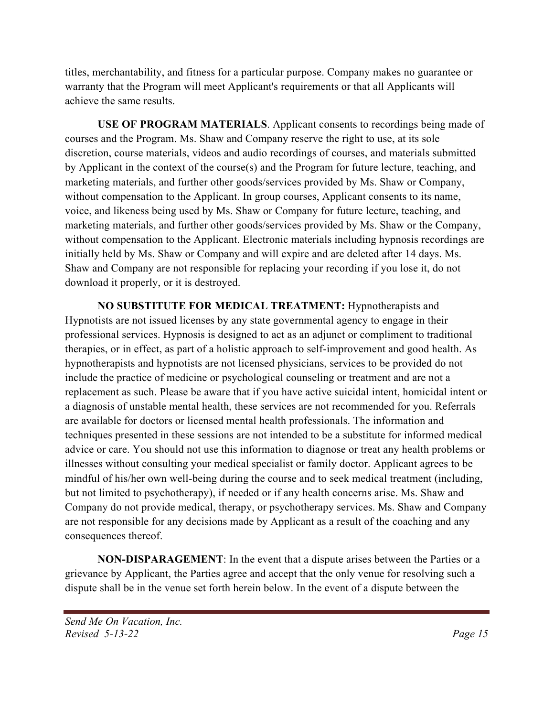titles, merchantability, and fitness for a particular purpose. Company makes no guarantee or warranty that the Program will meet Applicant's requirements or that all Applicants will achieve the same results.

**USE OF PROGRAM MATERIALS**. Applicant consents to recordings being made of courses and the Program. Ms. Shaw and Company reserve the right to use, at its sole discretion, course materials, videos and audio recordings of courses, and materials submitted by Applicant in the context of the course(s) and the Program for future lecture, teaching, and marketing materials, and further other goods/services provided by Ms. Shaw or Company, without compensation to the Applicant. In group courses, Applicant consents to its name, voice, and likeness being used by Ms. Shaw or Company for future lecture, teaching, and marketing materials, and further other goods/services provided by Ms. Shaw or the Company, without compensation to the Applicant. Electronic materials including hypnosis recordings are initially held by Ms. Shaw or Company and will expire and are deleted after 14 days. Ms. Shaw and Company are not responsible for replacing your recording if you lose it, do not download it properly, or it is destroyed.

**NO SUBSTITUTE FOR MEDICAL TREATMENT:** Hypnotherapists and Hypnotists are not issued licenses by any state governmental agency to engage in their professional services. Hypnosis is designed to act as an adjunct or compliment to traditional therapies, or in effect, as part of a holistic approach to self-improvement and good health. As hypnotherapists and hypnotists are not licensed physicians, services to be provided do not include the practice of medicine or psychological counseling or treatment and are not a replacement as such. Please be aware that if you have active suicidal intent, homicidal intent or a diagnosis of unstable mental health, these services are not recommended for you. Referrals are available for doctors or licensed mental health professionals. The information and techniques presented in these sessions are not intended to be a substitute for informed medical advice or care. You should not use this information to diagnose or treat any health problems or illnesses without consulting your medical specialist or family doctor. Applicant agrees to be mindful of his/her own well-being during the course and to seek medical treatment (including, but not limited to psychotherapy), if needed or if any health concerns arise. Ms. Shaw and Company do not provide medical, therapy, or psychotherapy services. Ms. Shaw and Company are not responsible for any decisions made by Applicant as a result of the coaching and any consequences thereof.

**NON-DISPARAGEMENT**: In the event that a dispute arises between the Parties or a grievance by Applicant, the Parties agree and accept that the only venue for resolving such a dispute shall be in the venue set forth herein below. In the event of a dispute between the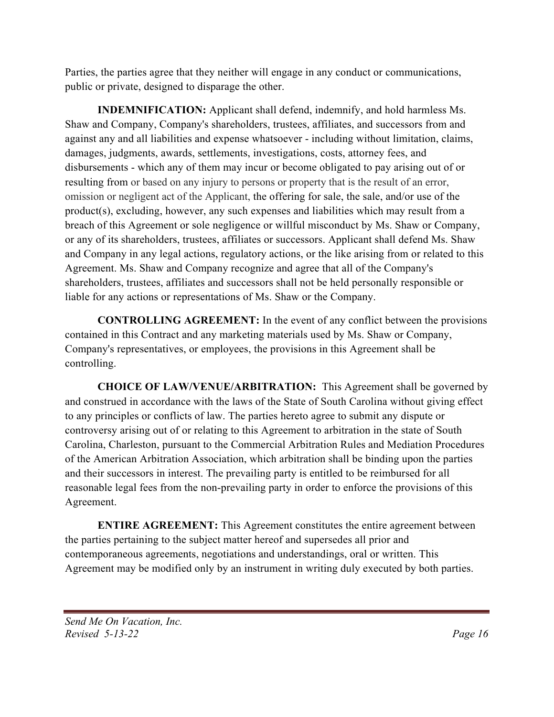Parties, the parties agree that they neither will engage in any conduct or communications, public or private, designed to disparage the other.

**INDEMNIFICATION:** Applicant shall defend, indemnify, and hold harmless Ms. Shaw and Company, Company's shareholders, trustees, affiliates, and successors from and against any and all liabilities and expense whatsoever - including without limitation, claims, damages, judgments, awards, settlements, investigations, costs, attorney fees, and disbursements - which any of them may incur or become obligated to pay arising out of or resulting from or based on any injury to persons or property that is the result of an error, omission or negligent act of the Applicant, the offering for sale, the sale, and/or use of the product(s), excluding, however, any such expenses and liabilities which may result from a breach of this Agreement or sole negligence or willful misconduct by Ms. Shaw or Company, or any of its shareholders, trustees, affiliates or successors. Applicant shall defend Ms. Shaw and Company in any legal actions, regulatory actions, or the like arising from or related to this Agreement. Ms. Shaw and Company recognize and agree that all of the Company's shareholders, trustees, affiliates and successors shall not be held personally responsible or liable for any actions or representations of Ms. Shaw or the Company.

**CONTROLLING AGREEMENT:** In the event of any conflict between the provisions contained in this Contract and any marketing materials used by Ms. Shaw or Company, Company's representatives, or employees, the provisions in this Agreement shall be controlling.

**CHOICE OF LAW/VENUE/ARBITRATION:** This Agreement shall be governed by and construed in accordance with the laws of the State of South Carolina without giving effect to any principles or conflicts of law. The parties hereto agree to submit any dispute or controversy arising out of or relating to this Agreement to arbitration in the state of South Carolina, Charleston, pursuant to the Commercial Arbitration Rules and Mediation Procedures of the American Arbitration Association, which arbitration shall be binding upon the parties and their successors in interest. The prevailing party is entitled to be reimbursed for all reasonable legal fees from the non-prevailing party in order to enforce the provisions of this Agreement.

**ENTIRE AGREEMENT:** This Agreement constitutes the entire agreement between the parties pertaining to the subject matter hereof and supersedes all prior and contemporaneous agreements, negotiations and understandings, oral or written. This Agreement may be modified only by an instrument in writing duly executed by both parties.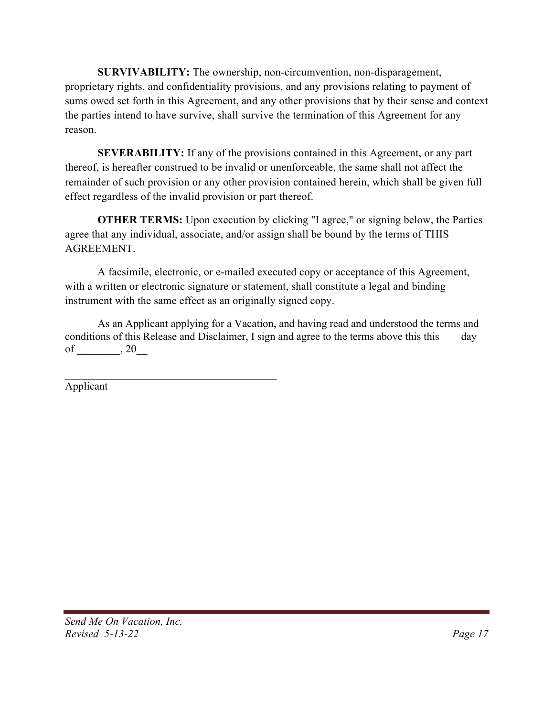**SURVIVABILITY:** The ownership, non-circumvention, non-disparagement, proprietary rights, and confidentiality provisions, and any provisions relating to payment of sums owed set forth in this Agreement, and any other provisions that by their sense and context the parties intend to have survive, shall survive the termination of this Agreement for any reason.

**SEVERABILITY:** If any of the provisions contained in this Agreement, or any part thereof, is hereafter construed to be invalid or unenforceable, the same shall not affect the remainder of such provision or any other provision contained herein, which shall be given full effect regardless of the invalid provision or part thereof.

**OTHER TERMS:** Upon execution by clicking "I agree," or signing below, the Parties agree that any individual, associate, and/or assign shall be bound by the terms of THIS AGREEMENT.

A facsimile, electronic, or e-mailed executed copy or acceptance of this Agreement, with a written or electronic signature or statement, shall constitute a legal and binding instrument with the same effect as an originally signed copy.

As an Applicant applying for a Vacation, and having read and understood the terms and conditions of this Release and Disclaimer, I sign and agree to the terms above this this  $\_\_\_$  day of  $\qquad \qquad , 20$ 

Applicant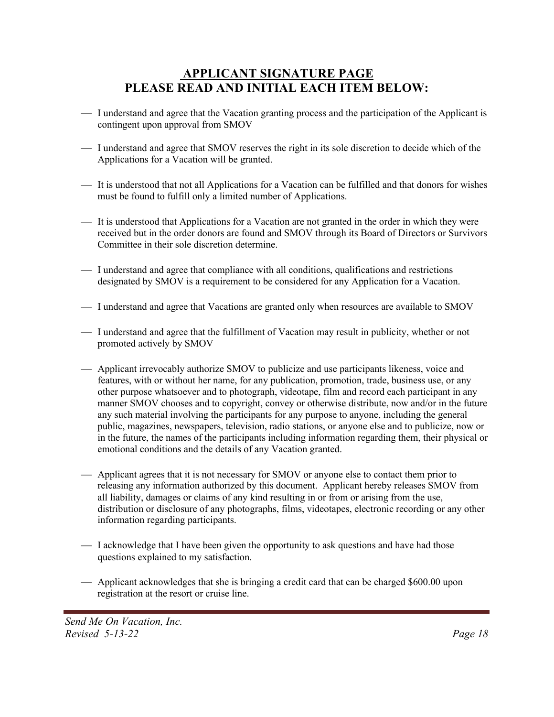## **APPLICANT SIGNATURE PAGE PLEASE READ AND INITIAL EACH ITEM BELOW:**

- ¾ I understand and agree that the Vacation granting process and the participation of the Applicant is contingent upon approval from SMOV
- ¾ I understand and agree that SMOV reserves the right in its sole discretion to decide which of the Applications for a Vacation will be granted.
- ¾ It is understood that not all Applications for a Vacation can be fulfilled and that donors for wishes must be found to fulfill only a limited number of Applications.
- ¾ It is understood that Applications for a Vacation are not granted in the order in which they were received but in the order donors are found and SMOV through its Board of Directors or Survivors Committee in their sole discretion determine.
- ¾ I understand and agree that compliance with all conditions, qualifications and restrictions designated by SMOV is a requirement to be considered for any Application for a Vacation.
- ¾ I understand and agree that Vacations are granted only when resources are available to SMOV
- ¾ I understand and agree that the fulfillment of Vacation may result in publicity, whether or not promoted actively by SMOV
- ¾ Applicant irrevocably authorize SMOV to publicize and use participants likeness, voice and features, with or without her name, for any publication, promotion, trade, business use, or any other purpose whatsoever and to photograph, videotape, film and record each participant in any manner SMOV chooses and to copyright, convey or otherwise distribute, now and/or in the future any such material involving the participants for any purpose to anyone, including the general public, magazines, newspapers, television, radio stations, or anyone else and to publicize, now or in the future, the names of the participants including information regarding them, their physical or emotional conditions and the details of any Vacation granted.
- ¾ Applicant agrees that it is not necessary for SMOV or anyone else to contact them prior to releasing any information authorized by this document. Applicant hereby releases SMOV from all liability, damages or claims of any kind resulting in or from or arising from the use, distribution or disclosure of any photographs, films, videotapes, electronic recording or any other information regarding participants.
- ¾ I acknowledge that I have been given the opportunity to ask questions and have had those questions explained to my satisfaction.
- ¾ Applicant acknowledges that she is bringing a credit card that can be charged \$600.00 upon registration at the resort or cruise line.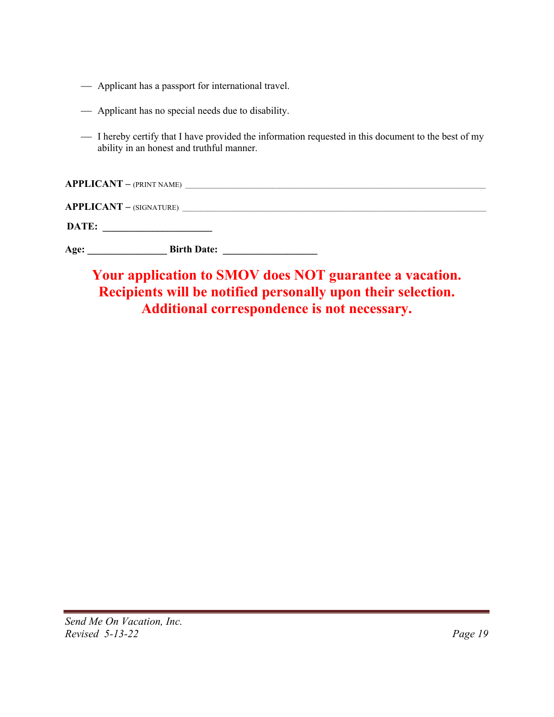- ¾ Applicant has a passport for international travel.
- ¾ Applicant has no special needs due to disability.
- ¾ I hereby certify that I have provided the information requested in this document to the best of my ability in an honest and truthful manner.

|                                                        | <b>APPLICANT</b> - (PRINT NAME) |  |
|--------------------------------------------------------|---------------------------------|--|
|                                                        |                                 |  |
| DATE:<br><u> 1989 - Andrea Andrew Maria (h. 1989).</u> |                                 |  |
| Age:                                                   | <b>Birth Date:</b>              |  |

# **Your application to SMOV does NOT guarantee a vacation. Recipients will be notified personally upon their selection. Additional correspondence is not necessary.**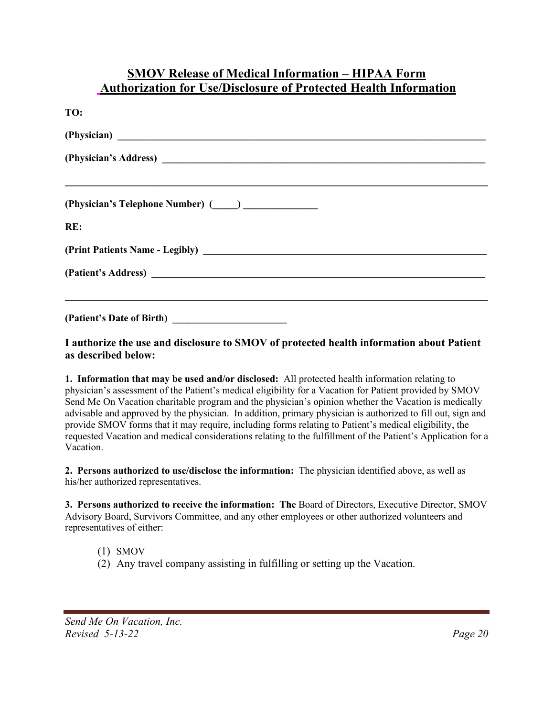### **SMOV Release of Medical Information – HIPAA Form Authorization for Use/Disclosure of Protected Health Information**

| TO:                                                                                                                                                                                                                            |
|--------------------------------------------------------------------------------------------------------------------------------------------------------------------------------------------------------------------------------|
|                                                                                                                                                                                                                                |
|                                                                                                                                                                                                                                |
| (Physician's Telephone Number) (Comparently and Contact Contact Contact Contact Contact Contact Contact Contact Contact Contact Contact Contact Contact Contact Contact Contact Contact Contact Contact Contact Contact Contac |
| RE:                                                                                                                                                                                                                            |
|                                                                                                                                                                                                                                |
|                                                                                                                                                                                                                                |
| (Patient's Date of Birth)                                                                                                                                                                                                      |

**I authorize the use and disclosure to SMOV of protected health information about Patient as described below:**

**1. Information that may be used and/or disclosed:** All protected health information relating to physician's assessment of the Patient's medical eligibility for a Vacation for Patient provided by SMOV Send Me On Vacation charitable program and the physician's opinion whether the Vacation is medically advisable and approved by the physician. In addition, primary physician is authorized to fill out, sign and provide SMOV forms that it may require, including forms relating to Patient's medical eligibility, the requested Vacation and medical considerations relating to the fulfillment of the Patient's Application for a Vacation.

**2. Persons authorized to use/disclose the information:** The physician identified above, as well as his/her authorized representatives.

**3. Persons authorized to receive the information: The** Board of Directors, Executive Director, SMOV Advisory Board, Survivors Committee, and any other employees or other authorized volunteers and representatives of either:

- (1) SMOV
- (2) Any travel company assisting in fulfilling or setting up the Vacation.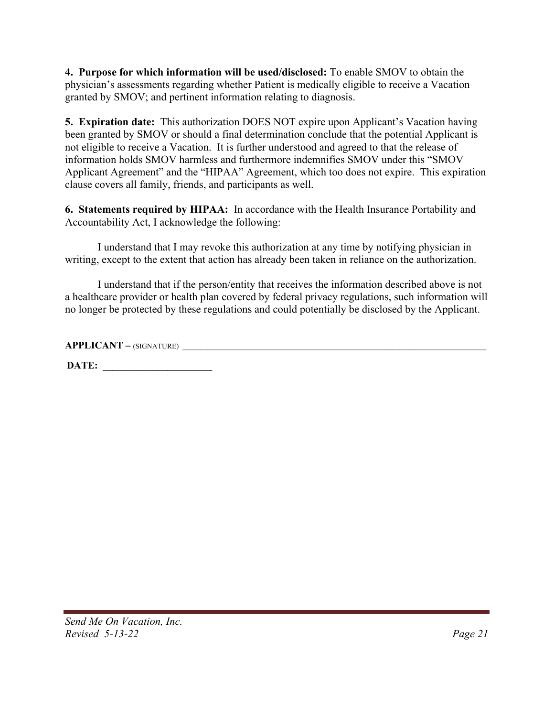**4. Purpose for which information will be used/disclosed:** To enable SMOV to obtain the physician's assessments regarding whether Patient is medically eligible to receive a Vacation granted by SMOV; and pertinent information relating to diagnosis.

**5. Expiration date:** This authorization DOES NOT expire upon Applicant's Vacation having been granted by SMOV or should a final determination conclude that the potential Applicant is not eligible to receive a Vacation. It is further understood and agreed to that the release of information holds SMOV harmless and furthermore indemnifies SMOV under this "SMOV Applicant Agreement" and the "HIPAA" Agreement, which too does not expire. This expiration clause covers all family, friends, and participants as well.

**6. Statements required by HIPAA:** In accordance with the Health Insurance Portability and Accountability Act, I acknowledge the following:

I understand that I may revoke this authorization at any time by notifying physician in writing, except to the extent that action has already been taken in reliance on the authorization.

I understand that if the person/entity that receives the information described above is not a healthcare provider or health plan covered by federal privacy regulations, such information will no longer be protected by these regulations and could potentially be disclosed by the Applicant.

**APPLICANT –** (SIGNATURE) \_\_\_\_\_\_\_\_\_\_\_\_\_\_\_\_\_\_\_\_\_\_\_\_\_\_\_\_\_\_\_\_\_\_\_\_\_\_\_\_\_\_\_\_\_\_\_\_\_\_\_\_\_\_\_\_\_\_\_\_\_\_\_\_\_\_\_\_\_\_\_\_\_\_\_\_\_\_\_\_\_\_\_\_

**DATE: \_\_\_\_\_\_\_\_\_\_\_\_\_\_\_\_\_\_\_\_\_\_**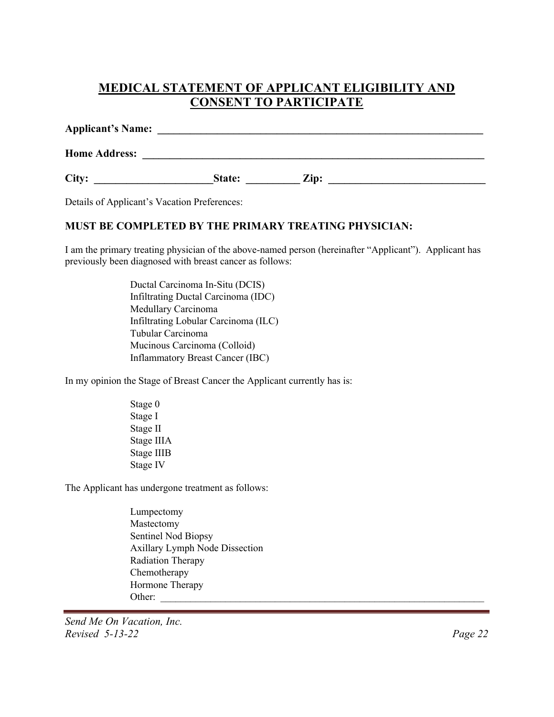# **MEDICAL STATEMENT OF APPLICANT ELIGIBILITY AND CONSENT TO PARTICIPATE**

| <b>Applicant's Name:</b> |        |                 |  |
|--------------------------|--------|-----------------|--|
| <b>Home Address:</b>     |        |                 |  |
| City:                    | State: | $\mathbf{Zip:}$ |  |

Details of Applicant's Vacation Preferences:

#### **MUST BE COMPLETED BY THE PRIMARY TREATING PHYSICIAN:**

I am the primary treating physician of the above-named person (hereinafter "Applicant"). Applicant has previously been diagnosed with breast cancer as follows:

> Ductal Carcinoma In-Situ (DCIS) Infiltrating Ductal Carcinoma (IDC) Medullary Carcinoma Infiltrating Lobular Carcinoma (ILC) Tubular Carcinoma Mucinous Carcinoma (Colloid) Inflammatory Breast Cancer (IBC)

In my opinion the Stage of Breast Cancer the Applicant currently has is:

 Stage 0 Stage I Stage II Stage IIIA Stage IIIB Stage IV

The Applicant has undergone treatment as follows:

 Lumpectomy Mastectomy Sentinel Nod Biopsy Axillary Lymph Node Dissection Radiation Therapy Chemotherapy Hormone Therapy Other:

*Send Me On Vacation, Inc. Revised 5-13-22 Page 22*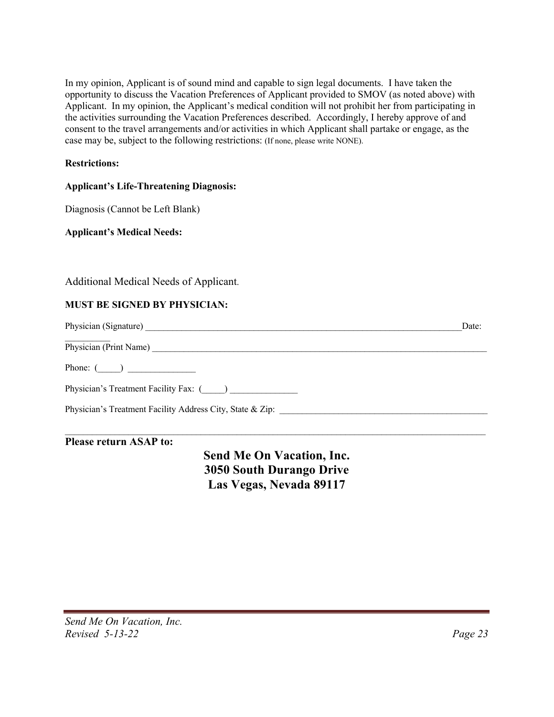In my opinion, Applicant is of sound mind and capable to sign legal documents. I have taken the opportunity to discuss the Vacation Preferences of Applicant provided to SMOV (as noted above) with Applicant. In my opinion, the Applicant's medical condition will not prohibit her from participating in the activities surrounding the Vacation Preferences described. Accordingly, I hereby approve of and consent to the travel arrangements and/or activities in which Applicant shall partake or engage, as the case may be, subject to the following restrictions: (If none, please write NONE).

#### **Restrictions:**

#### **Applicant's Life-Threatening Diagnosis:**

Diagnosis (Cannot be Left Blank)

**Applicant's Medical Needs:**

Additional Medical Needs of Applicant.

#### **MUST BE SIGNED BY PHYSICIAN:**

|                                                           | Date: |
|-----------------------------------------------------------|-------|
|                                                           |       |
| Phone: $($                                                |       |
| Physician's Treatment Facility Fax: ()                    |       |
| Physician's Treatment Facility Address City, State & Zip: |       |
|                                                           |       |

#### **Please return ASAP to:**

**Send Me On Vacation, Inc. 3050 South Durango Drive Las Vegas, Nevada 89117**